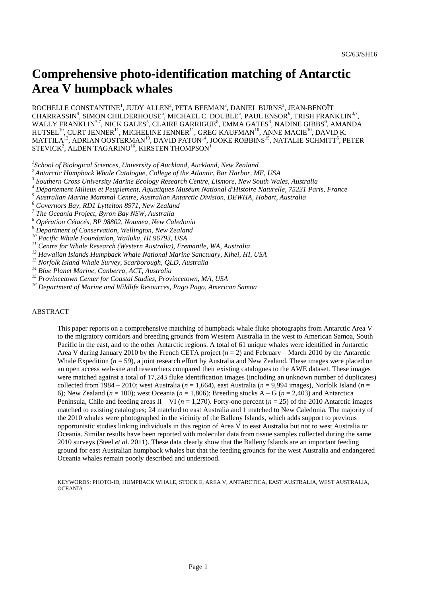# **Comprehensive photo-identification matching of Antarctic Area V humpback whales**

ROCHELLE CONSTANTINE<sup>1</sup>, JUDY ALLEN<sup>2</sup>, PETA BEEMAN<sup>3</sup>, DANIEL BURNS<sup>3</sup>, JEAN-BENOÎT CHARRASSIN<sup>4</sup>, SIMON CHILDERHOUSE<sup>5</sup>, MICHAEL C. DOUBLE<sup>5</sup>, PAUL ENSOR<sup>6</sup>, TRISH FRANKLIN<sup>3,7</sup>, WALLY FRANKLIN $^{3,7}$ , NICK GALES $^5$ , CLAIRE GARRIGUE $^8$ , EMMA GATES $^3$ , NADINE GIBBS $^9$ , AMANDA HUTSEL $^{10}$ , CURT JENNER $^{11}$ , MICHELINE JENNER $^{11}$ , GREG KAUFMAN $^{10}$ , ANNE MACIE $^{10}$ , DAVID K. MATTILA $^{12}$ , ADRIAN OOSTERMAN $^{13}$ , DAVID PATON $^{14}$ , JOOKE ROBBINS $^{15}$ , NATALIE SCHMITT $^{5}$ , PETER STEVICK $^2$ , ALDEN TAGARINO $^{16}$ , KIRSTEN THOMPSON $^1$ 

*1 School of Biological Sciences, University of Auckland, Auckland, New Zealand*

*<sup>2</sup>Antarctic Humpback Whale Catalogue, College of the Atlantic, Bar Harbor, ME, USA*

*3 Southern Cross University Marine Ecology Research Centre, Lismore, New South Wales, Australia* 

*<sup>4</sup> Département Milieux et Peuplement, Aquatiques Muséum National d'Histoire Naturelle, 75231 Paris, France*

*<sup>5</sup> Australian Marine Mammal Centre, Australian Antarctic Division, DEWHA, Hobart, Australia*

*<sup>6</sup> Governors Bay, RD1 Lyttelton 8971, New Zealand*

*7 The Oceania Project, Byron Bay NSW, Australia*

*<sup>8</sup> Opération Cétacés, BP 98802, Noumea, New Caledonia*

*<sup>9</sup> Department of Conservation, Wellington, New Zealand*

*<sup>10</sup> Pacific Whale Foundation, Wailuku, HI 96793, USA*

*<sup>11</sup> Centre for Whale Research (Western Australia), Fremantle, WA, Australia*

*<sup>12</sup> Hawaiian Islands Humpback Whale National Marine Sanctuary, Kihei, HI, USA*

*<sup>13</sup> Norfolk Island Whale Survey, Scarborough, QLD, Australia*

*<sup>14</sup> Blue Planet Marine, Canberra, ACT, Australia*

*<sup>15</sup> Provincetown Center for Coastal Studies, Provincetown, MA, USA*

*<sup>16</sup> Department of Marine and Wildlife Resources, Pago Pago, American Samoa*

#### ABSTRACT

This paper reports on a comprehensive matching of humpback whale fluke photographs from Antarctic Area V to the migratory corridors and breeding grounds from Western Australia in the west to American Samoa, South Pacific in the east, and to the other Antarctic regions. A total of 61 unique whales were identified in Antarctic Area V during January 2010 by the French CETA project (*n* = 2) and February – March 2010 by the Antarctic Whale Expedition (*n* = 59), a joint research effort by Australia and New Zealand. These images were placed on an open access web-site and researchers compared their existing catalogues to the AWE dataset. These images were matched against a total of 17,243 fluke identification images (including an unknown number of duplicates) collected from 1984 – 2010; west Australia (*n* = 1,664), east Australia (*n* = 9,994 images), Norfolk Island (*n* = 6); New Zealand ( $n = 100$ ); west Oceania ( $n = 1,806$ ); Breeding stocks A – G ( $n = 2,403$ ) and Antarctica Peninsula, Chile and feeding areas II – VI ( $n = 1,270$ ). Forty-one percent ( $n = 25$ ) of the 2010 Antarctic images matched to existing catalogues; 24 matched to east Australia and 1 matched to New Caledonia. The majority of the 2010 whales were photographed in the vicinity of the Balleny Islands, which adds support to previous opportunistic studies linking individuals in this region of Area V to east Australia but not to west Australia or Oceania. Similar results have been reported with molecular data from tissue samples collected during the same 2010 surveys (Steel *et al*. 2011). These data clearly show that the Balleny Islands are an important feeding ground for east Australian humpback whales but that the feeding grounds for the west Australia and endangered Oceania whales remain poorly described and understood.

KEYWORDS: PHOTO-ID, HUMPBACK WHALE, STOCK E, AREA V, ANTARCTICA, EAST AUSTRALIA, WEST AUSTRALIA, **OCEANIA**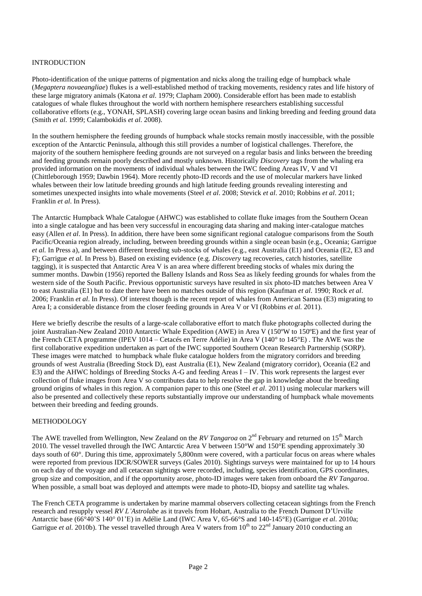## INTRODUCTION

Photo-identification of the unique patterns of pigmentation and nicks along the trailing edge of humpback whale (*Megaptera novaeangliae*) flukes is a well-established method of tracking movements, residency rates and life history of these large migratory animals (Katona *et al*. 1979; Clapham 2000). Considerable effort has been made to establish catalogues of whale flukes throughout the world with northern hemisphere researchers establishing successful collaborative efforts (e.g., YONAH, SPLASH) covering large ocean basins and linking breeding and feeding ground data (Smith *et al*. 1999; Calambokidis *et al*. 2008).

In the southern hemisphere the feeding grounds of humpback whale stocks remain mostly inaccessible, with the possible exception of the Antarctic Peninsula, although this still provides a number of logistical challenges. Therefore, the majority of the southern hemisphere feeding grounds are not surveyed on a regular basis and links between the breeding and feeding grounds remain poorly described and mostly unknown. Historically *Discovery* tags from the whaling era provided information on the movements of individual whales between the IWC feeding Areas IV, V and VI (Chittleborough 1959; Dawbin 1964). More recently photo-ID records and the use of molecular markers have linked whales between their low latitude breeding grounds and high latitude feeding grounds revealing interesting and sometimes unexpected insights into whale movements (Steel *et al*. 2008; Stevick *et al*. 2010; Robbins *et al*. 2011; Franklin *et al*. In Press).

The Antarctic Humpback Whale Catalogue (AHWC) was established to collate fluke images from the Southern Ocean into a single catalogue and has been very successful in encouraging data sharing and making inter-catalogue matches easy (Allen *et al*. In Press). In addition, there have been some significant regional catalogue comparisons from the South Pacific/Oceania region already, including, between breeding grounds within a single ocean basin (e.g., Oceania; Garrigue *et al.* In Press a), and between different breeding sub-stocks of whales (e.g., east Australia (E1) and Oceania (E2, E3 and F); Garrigue *et al.* In Press b). Based on existing evidence (e.g. *Discovery* tag recoveries, catch histories, satellite tagging), it is suspected that Antarctic Area V is an area where different breeding stocks of whales mix during the summer months. Dawbin (1956) reported the Balleny Islands and Ross Sea as likely feeding grounds for whales from the western side of the South Pacific. Previous opportunistic surveys have resulted in six photo-ID matches between Area V to east Australia (E1) but to date there have been no matches outside of this region (Kaufman *et al*. 1990; Rock *et al*. 2006; Franklin *et al*. In Press). Of interest though is the recent report of whales from American Samoa (E3) migrating to Area I; a considerable distance from the closer feeding grounds in Area V or VI (Robbins *et al.* 2011).

Here we briefly describe the results of a large-scale collaborative effort to match fluke photographs collected during the joint Australian-New Zealand 2010 Antarctic Whale Expedition (AWE) in Area V (150ºW to 150ºE) and the first year of the French CETA programme (IPEV 1014 – Cetacés en Terre Adélie) in Area V (140° to 145°E) . The AWE was the first collaborative expedition undertaken as part of the IWC supported Southern Ocean Research Partnership (SORP). These images were matched to humpback whale fluke catalogue holders from the migratory corridors and breeding grounds of west Australia (Breeding Stock D), east Australia (E1), New Zealand (migratory corridor), Oceania (E2 and E3) and the AHWC holdings of Breeding Stocks A-G and feeding Areas I – IV. This work represents the largest ever collection of fluke images from Area V so contributes data to help resolve the gap in knowledge about the breeding ground origins of whales in this region. A companion paper to this one (Steel *et al*. 2011) using molecular markers will also be presented and collectively these reports substantially improve our understanding of humpback whale movements between their breeding and feeding grounds.

### METHODOLOGY

The AWE travelled from Wellington, New Zealand on the *RV Tangaroa* on  $2^{nd}$  February and returned on 15<sup>th</sup> March 2010. The vessel travelled through the IWC Antarctic Area V between 150°W and 150°E spending approximately 30 days south of 60°. During this time, approximately 5,800nm were covered, with a particular focus on areas where whales were reported from previous IDCR/SOWER surveys (Gales 2010). Sightings surveys were maintained for up to 14 hours on each day of the voyage and all cetacean sightings were recorded, including, species identification, GPS coordinates, group size and composition, and if the opportunity arose, photo-ID images were taken from onboard the *RV Tangaroa*. When possible, a small boat was deployed and attempts were made to photo-ID, biopsy and satellite tag whales.

The French CETA programme is undertaken by marine mammal observers collecting cetacean sightings from the French research and resupply vessel *RV L'Astrolabe* as it travels from Hobart, Australia to the French Dumont D'Urville Antarctic base (66°40'S 140° 01'E) in Adélie Land (IWC Area V, 65-66°S and 140-145°E) (Garrigue *et al*. 2010a; Garrigue *et al.* 2010b). The vessel travelled through Area V waters from 10<sup>th</sup> to 22<sup>nd</sup> January 2010 conducting an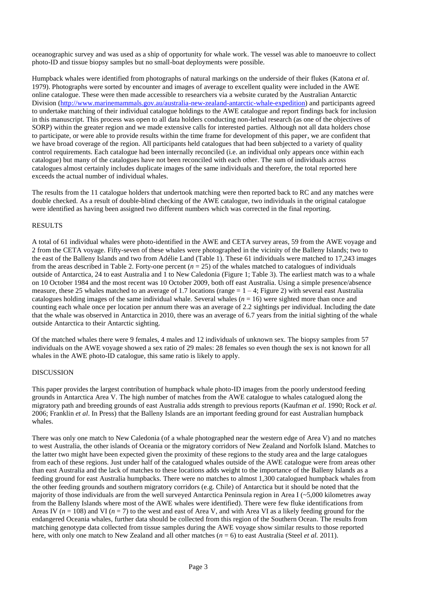oceanographic survey and was used as a ship of opportunity for whale work. The vessel was able to manoeuvre to collect photo-ID and tissue biopsy samples but no small-boat deployments were possible.

Humpback whales were identified from photographs of natural markings on the underside of their flukes (Katona *et al*. 1979). Photographs were sorted by encounter and images of average to excellent quality were included in the AWE online catalogue. These were then made accessible to researchers via a website curated by the Australian Antarctic Division [\(http://www.marinemammals.gov.au/australia-new-zealand-antarctic-whale-expedition\)](http://www.marinemammals.gov.au/australia-new-zealand-antarctic-whale-expedition) and participants agreed to undertake matching of their individual catalogue holdings to the AWE catalogue and report findings back for inclusion in this manuscript. This process was open to all data holders conducting non-lethal research (as one of the objectives of SORP) within the greater region and we made extensive calls for interested parties. Although not all data holders chose to participate, or were able to provide results within the time frame for development of this paper, we are confident that we have broad coverage of the region. All participants held catalogues that had been subjected to a variety of quality control requirements. Each catalogue had been internally reconciled (i.e. an individual only appears once within each catalogue) but many of the catalogues have not been reconciled with each other. The sum of individuals across catalogues almost certainly includes duplicate images of the same individuals and therefore, the total reported here exceeds the actual number of individual whales.

The results from the 11 catalogue holders that undertook matching were then reported back to RC and any matches were double checked. As a result of double-blind checking of the AWE catalogue, two individuals in the original catalogue were identified as having been assigned two different numbers which was corrected in the final reporting.

### RESULTS

A total of 61 individual whales were photo-identified in the AWE and CETA survey areas, 59 from the AWE voyage and 2 from the CETA voyage. Fifty-seven of these whales were photographed in the vicinity of the Balleny Islands; two to the east of the Balleny Islands and two from Adélie Land (Table 1). These 61 individuals were matched to 17,243 images from the areas described in Table 2. Forty-one percent  $(n = 25)$  of the whales matched to catalogues of individuals outside of Antarctica, 24 to east Australia and 1 to New Caledonia (Figure 1; Table 3). The earliest match was to a whale on 10 October 1984 and the most recent was 10 October 2009, both off east Australia. Using a simple presence/absence measure, these 25 whales matched to an average of 1.7 locations (range  $= 1 - 4$ ; Figure 2) with several east Australia catalogues holding images of the same individual whale. Several whales  $(n = 16)$  were sighted more than once and counting each whale once per location per annum there was an average of 2.2 sightings per individual. Including the date that the whale was observed in Antarctica in 2010, there was an average of 6.7 years from the initial sighting of the whale outside Antarctica to their Antarctic sighting.

Of the matched whales there were 9 females, 4 males and 12 individuals of unknown sex. The biopsy samples from 57 individuals on the AWE voyage showed a sex ratio of 29 males: 28 females so even though the sex is not known for all whales in the AWE photo-ID catalogue, this same ratio is likely to apply.

### **DISCUSSION**

This paper provides the largest contribution of humpback whale photo-ID images from the poorly understood feeding grounds in Antarctica Area V. The high number of matches from the AWE catalogue to whales catalogued along the migratory path and breeding grounds of east Australia adds strength to previous reports (Kaufman *et al*. 1990; Rock *et al*. 2006; Franklin *et al*. In Press) that the Balleny Islands are an important feeding ground for east Australian humpback whales.

There was only one match to New Caledonia (of a whale photographed near the western edge of Area V) and no matches to west Australia, the other islands of Oceania or the migratory corridors of New Zealand and Norfolk Island. Matches to the latter two might have been expected given the proximity of these regions to the study area and the large catalogues from each of these regions. Just under half of the catalogued whales outside of the AWE catalogue were from areas other than east Australia and the lack of matches to these locations adds weight to the importance of the Balleny Islands as a feeding ground for east Australia humpbacks. There were no matches to almost 1,300 catalogued humpback whales from the other feeding grounds and southern migratory corridors (e.g. Chile) of Antarctica but it should be noted that the majority of those individuals are from the well surveyed Antarctica Peninsula region in Area I (~5,000 kilometres away from the Balleny Islands where most of the AWE whales were identified). There were few fluke identifications from Areas IV ( $n = 108$ ) and VI ( $n = 7$ ) to the west and east of Area V, and with Area VI as a likely feeding ground for the endangered Oceania whales, further data should be collected from this region of the Southern Ocean. The results from matching genotype data collected from tissue samples during the AWE voyage show similar results to those reported here, with only one match to New Zealand and all other matches (*n* = 6) to east Australia (Steel *et al.* 2011).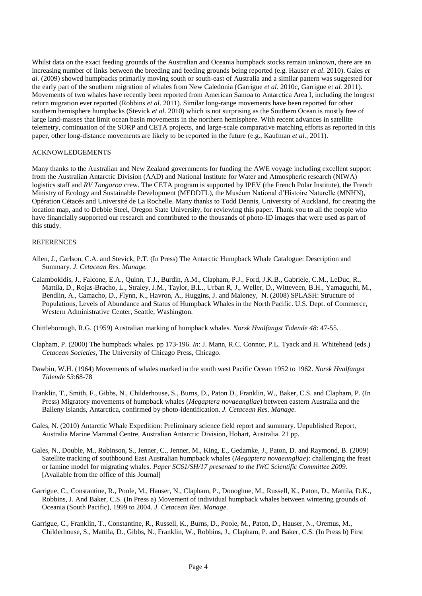Whilst data on the exact feeding grounds of the Australian and Oceania humpback stocks remain unknown, there are an increasing number of links between the breeding and feeding grounds being reported (e.g. Hauser *et al*. 2010). Gales *et al.* (2009) showed humpbacks primarily moving south or south-east of Australia and a similar pattern was suggested for the early part of the southern migration of whales from New Caledonia (Garrigue *et al*. 2010c, Garrigue et *al.* 2011). Movements of two whales have recently been reported from American Samoa to Antarctica Area I, including the longest return migration ever reported (Robbins *et al*. 2011). Similar long-range movements have been reported for other southern hemisphere humpbacks (Stevick *et al*. 2010) which is not surprising as the Southern Ocean is mostly free of large land-masses that limit ocean basin movements in the northern hemisphere. With recent advances in satellite telemetry, continuation of the SORP and CETA projects, and large-scale comparative matching efforts as reported in this paper, other long-distance movements are likely to be reported in the future (e.g., Kaufman *et al*., 2011).

### ACKNOWLEDGEMENTS

Many thanks to the Australian and New Zealand governments for funding the AWE voyage including excellent support from the Australian Antarctic Division (AAD) and National Institute for Water and Atmospheric research (NIWA) logistics staff and *RV Tangaroa* crew. The CETA program is supported by IPEV (the French Polar Institute), the French Ministry of Ecology and Sustainable Development (MEDDTL), the Muséum National d'Histoire Naturelle (MNHN), Opération Cétacés and Université de La Rochelle. Many thanks to Todd Dennis, University of Auckland, for creating the location map, and to Debbie Steel, Oregon State University, for reviewing this paper. Thank you to all the people who have financially supported our research and contributed to the thousands of photo-ID images that were used as part of this study.

#### REFERENCES

- Allen, J., Carlson, C.A. and Stevick, P.T. (In Press) The Antarctic Humpback Whale Catalogue: Description and Summary. *J. Cetacean Res. Manage.*
- Calambokidis, J., Falcone, E.A., Quinn, T.J., Burdin, A.M., Clapham, P.J., Ford, J.K.B., Gabriele, C.M., LeDuc, R., Mattila, D., Rojas-Bracho, L., Straley, J.M., Taylor, B.L., Urban R, J., Weller, D., Witteveen, B.H., Yamaguchi, M., Bendlin, A., Camacho, D., Flynn, K., Havron, A., Huggins, J. and Maloney, N. (2008) SPLASH: Structure of Populations, Levels of Abundance and Status of Humpback Whales in the North Pacific. U.S. Dept. of Commerce, Western Administrative Center, Seattle, Washington.

Chittleborough, R.G. (1959) Australian marking of humpback whales. *Norsk Hvalfangst Tidende 48*: 47-55.

- Clapham, P. (2000) The humpback whales. pp 173-196. *In*: J. Mann, R.C. Connor, P.L. Tyack and H. Whitehead (eds.) *Cetacean Societies*, The University of Chicago Press, Chicago.
- Dawbin, W.H. (1964) Movements of whales marked in the south west Pacific Ocean 1952 to 1962. *Norsk Hvalfangst Tidende 53*:68-78
- Franklin, T., Smith, F., Gibbs, N., Childerhouse, S., Burns, D., Paton D., Franklin, W., Baker, C.S. and Clapham, P. (In Press) Migratory movements of humpback whales (*Megaptera novaeangliae*) between eastern Australia and the Balleny Islands, Antarctica, confirmed by photo-identification. *J. Cetacean Res. Manage.*
- Gales, N. (2010) Antarctic Whale Expedition: Preliminary science field report and summary. Unpublished Report, Australia Marine Mammal Centre, Australian Antarctic Division, Hobart, Australia. 21 pp.
- Gales, N., Double, M., Robinson, S., Jenner, C., Jenner, M., King, E., Gedamke, J., Paton, D. and Raymond, B. (2009) Satellite tracking of southbound East Australian humpback whales (*Megaptera novaeangliae*): challenging the feast or famine model for migrating whales*. Paper SC61/SH/17 presented to the IWC Scientific Committee 2009*. [Available from the office of this Journal]
- Garrigue, C., Constantine, R., Poole, M., Hauser, N., Clapham, P., Donoghue, M., Russell, K., Paton, D., Mattila, D.K., Robbins, J. And Baker, C.S. (In Press a) Movement of individual humpback whales between wintering grounds of Oceania (South Pacific), 1999 to 2004. *J. Cetacean Res. Manage.*
- Garrigue, C., Franklin, T., Constantine, R., Russell, K., Burns, D., Poole, M., Paton, D., Hauser, N., Oremus, M., Childerhouse, S., Mattila, D., Gibbs, N., Franklin, W., Robbins, J., Clapham, P. and Baker, C.S. (In Press b) First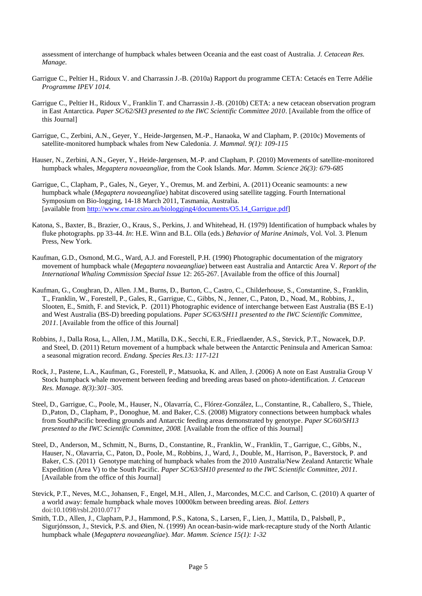assessment of interchange of humpback whales between Oceania and the east coast of Australia. *J. Cetacean Res. Manage.*

- Garrigue C., Peltier H., Ridoux V. and Charrassin J.-B. (2010a) Rapport du programme CETA: Cetacés en Terre Adélie *Programme IPEV 1014.*
- Garrigue C., Peltier H., Ridoux V., Franklin T. and Charrassin J.-B. (2010b) CETA: a new cetacean observation program in East Antarctica. *Paper SC/62/SH3 presented to the IWC Scientific Committee 2010*. [Available from the office of this Journal]
- Garrigue, C., Zerbini, A.N., Geyer, Y., Heide-Jørgensen, M.-P., Hanaoka, W and Clapham, P. (2010c) Movements of satellite-monitored humpback whales from New Caledonia. *J. Mammal. 9(1): 109-115*
- Hauser, N., Zerbini, A.N., Geyer, Y., Heide-Jørgensen, M.-P. and Clapham, P. (2010) Movements of satellite-monitored humpback whales, *Megaptera novaeangliae*, from the Cook Islands. *Mar. Mamm. Science 26(3): 679-685*
- Garrigue, C., Clapham, P., Gales, N., Geyer, Y., Oremus, M. and Zerbini, A. (2011) Oceanic seamounts: a new humpback whale (*Megaptera novaeangliae*) habitat discovered using satellite tagging. Fourth International Symposium on Bio-logging, 14-18 March 2011, Tasmania, Australia. [available from [http://www.cmar.csiro.au/biologging4/documents/O5.14\\_Garrigue.pdf\]](http://www.cmar.csiro.au/biologging4/documents/O5.14_Garrigue.pdf)
- Katona, S., Baxter, B., Brazier, O., Kraus, S., Perkins, J. and Whitehead, H. (1979) Identification of humpback whales by fluke photographs. pp 33-44. *In*: H.E. Winn and B.L. Olla (eds.) *Behavior of Marine Animals*, Vol. Vol. 3. Plenum Press, New York.
- Kaufman, G.D., Osmond, M.G., Ward, A.J. and Forestell, P.H. (1990) Photographic documentation of the migratory movement of humpback whale (*Megaptera novaeangliae*) between east Australia and Antarctic Area V. *Report of the International Whaling Commission Special Issue* 12: 265-267. [Available from the office of this Journal]
- Kaufman, G., Coughran, D., Allen. J.M., Burns, D., Burton, C., Castro, C., Childerhouse, S., Constantine, S., Franklin, T., Franklin, W., Forestell, P., Gales, R., Garrigue, C., Gibbs, N., Jenner, C., Paton, D., Noad, M., Robbins, J., Slooten, E., Smith, F. and Stevick, P. (2011) Photographic evidence of interchange between East Australia (BS E-1) and West Australia (BS-D) breeding populations. *Paper SC/63/SH11 presented to the IWC Scientific Committee, 2011*. [Available from the office of this Journal]
- Robbins, J., Dalla Rosa, L., Allen, J.M., Matilla, D.K., Secchi, E.R., Friedlaender, A.S., Stevick, P.T., Nowacek, D.P. and Steel, D. (2011) Return movement of a humpback whale between the Antarctic Peninsula and American Samoa: a seasonal migration record. *Endang. Species Res.13: 117-121*
- Rock, J., Pastene, L.A., Kaufman, G., Forestell, P., Matsuoka, K. and Allen, J. (2006) A note on East Australia Group V Stock humpback whale movement between feeding and breeding areas based on photo-identification. *J. Cetacean Res. Manage. 8(3):301–305.*
- Steel, D., Garrigue, C., Poole, M., Hauser, N., Olavarría, C., Flórez-González, L., Constantine, R., Caballero, S., Thiele, D.,Paton, D., Clapham, P., Donoghue, M. and Baker, C.S. (2008) Migratory connections between humpback whales from SouthPacific breeding grounds and Antarctic feeding areas demonstrated by genotype. *Paper SC/60/SH13 presented to the IWC Scientific Committee, 2008.* [Available from the office of this Journal]
- Steel, D., Anderson, M., Schmitt, N., Burns, D., Constantine, R., Franklin, W., Franklin, T., Garrigue, C., Gibbs, N., Hauser, N., Olavarria, C., Paton, D., Poole, M., Robbins, J., Ward, J., Double, M., Harrison, P., Baverstock, P. and Baker, C.S. (2011) Genotype matching of humpback whales from the 2010 Australia/New Zealand Antarctic Whale Expedition (Area V) to the South Pacific. *Paper SC/63/SH10 presented to the IWC Scientific Committee, 2011.* [Available from the office of this Journal]
- Stevick, P.T., Neves, M.C., Johansen, F., Engel, M.H., Allen, J., Marcondes, M.C.C. and Carlson, C. (2010) A quarter of a world away: female humpback whale moves 10000km between breeding areas. *Biol. Letters* doi:10.1098/rsbl.2010.0717
- Smith, T.D., Allen, J., Clapham, P.J., Hammond, P.S., Katona, S., Larsen, F., Lien, J., Mattila, D., Palsbøll, P., Sigurjónsson, J., Stevick, P.S. and Øien, N. (1999) An ocean-basin-wide mark-recapture study of the North Atlantic humpback whale (*Megaptera novaeangliae*). *Mar. Mamm. Science 15(1): 1-32*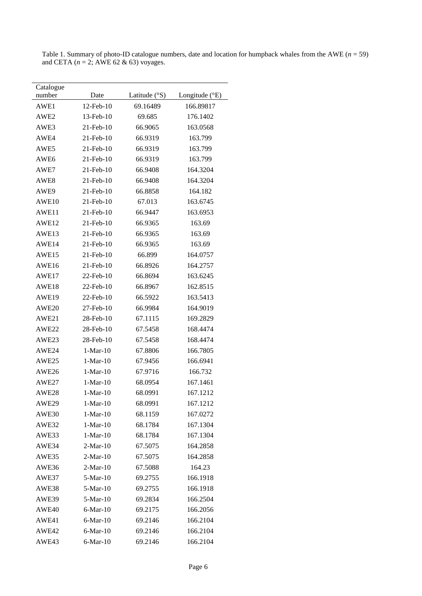| Catalogue        |                |                        |                |
|------------------|----------------|------------------------|----------------|
| number           | Date           | Latitude $(^{\circ}S)$ | Longitude (°E) |
| AWE1             | 12-Feb-10      | 69.16489               | 166.89817      |
| AWE <sub>2</sub> | 13-Feb-10      | 69.685                 | 176.1402       |
| AWE3             | 21-Feb-10      | 66.9065                | 163.0568       |
| AWE4             | 21-Feb-10      | 66.9319                | 163.799        |
| AWE5             | 21-Feb-10      | 66.9319                | 163.799        |
| AWE <sub>6</sub> | 21-Feb-10      | 66.9319                | 163.799        |
| AWE7             | 21-Feb-10      | 66.9408                | 164.3204       |
| AWE8             | 21-Feb-10      | 66.9408                | 164.3204       |
| AWE9             | 21-Feb-10      | 66.8858                | 164.182        |
| AWE10            | 21-Feb-10      | 67.013                 | 163.6745       |
| AWE11            | 21-Feb-10      | 66.9447                | 163.6953       |
| AWE12            | 21-Feb-10      | 66.9365                | 163.69         |
| AWE13            | 21-Feb-10      | 66.9365                | 163.69         |
| AWE14            | 21-Feb-10      | 66.9365                | 163.69         |
| AWE15            | 21-Feb-10      | 66.899                 | 164.0757       |
| AWE16            | 21-Feb-10      | 66.8926                | 164.2757       |
| AWE17            | 22-Feb-10      | 66.8694                | 163.6245       |
| AWE18            | 22-Feb-10      | 66.8967                | 162.8515       |
| AWE19            | 22-Feb-10      | 66.5922                | 163.5413       |
| AWE20            | 27-Feb-10      | 66.9984                | 164.9019       |
| AWE21            | 28-Feb-10      | 67.1115                | 169.2829       |
| AWE22            | 28-Feb-10      | 67.5458                | 168.4474       |
| AWE23            | 28-Feb-10      | 67.5458                | 168.4474       |
| AWE24            | $1-Mar-10$     | 67.8806                | 166.7805       |
| AWE25            | $1-Mar-10$     | 67.9456                | 166.6941       |
| AWE26            | $1-Mar-10$     | 67.9716                | 166.732        |
| AWE27            | $1-Mar-10$     | 68.0954                | 167.1461       |
| AWE28            | $1-Mar-10$     | 68.0991                | 167.1212       |
| AWE29            | $1-Mar-10$     | 68.0991                | 167.1212       |
| AWE30            | $1-Mar-10$     | 68.1159                | 167.0272       |
| AWE32            | $1-Mar-10$     | 68.1784                | 167.1304       |
| AWE33            | $1-Mar-10$     | 68.1784                | 167.1304       |
| AWE34            | $2-Mar-10$     | 67.5075                | 164.2858       |
| AWE35            | $2-Mar-10$     | 67.5075                | 164.2858       |
| AWE36            | $2-Mar-10$     | 67.5088                | 164.23         |
| AWE37            | $5-Mar-10$     | 69.2755                | 166.1918       |
| AWE38            | $5-Mar-10$     | 69.2755                | 166.1918       |
| AWE39            | $5-Mar-10$     | 69.2834                | 166.2504       |
| AWE40            | $6-Mar-10$     | 69.2175                | 166.2056       |
| AWE41            | $6-Mar-10$     | 69.2146                | 166.2104       |
| AWE42            | $6-Mar-10$     | 69.2146                | 166.2104       |
| AWE43            | $6$ -Mar- $10$ | 69.2146                | 166.2104       |

Table 1. Summary of photo-ID catalogue numbers, date and location for humpback whales from the AWE  $(n = 59)$ and CETA (*n* = 2; AWE 62 & 63) voyages.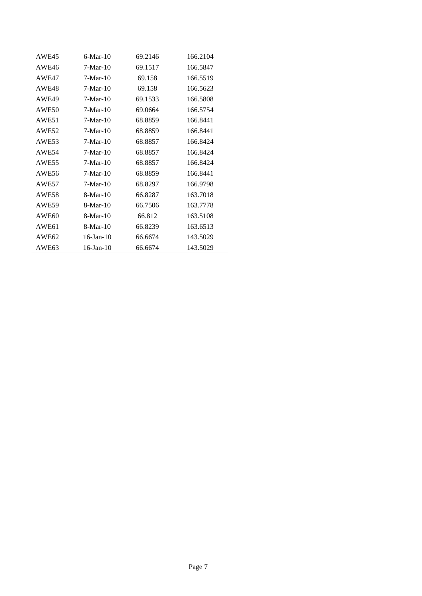| AWE45             | $6-Mar-10$      | 69.2146 | 166.2104 |
|-------------------|-----------------|---------|----------|
| AWE46             | $7-Mar-10$      | 69.1517 | 166.5847 |
| AWE47             | $7-Mar-10$      | 69.158  | 166.5519 |
| AWE48             | $7-Mar-10$      | 69.158  | 166.5623 |
| AWE49             | $7-Mar-10$      | 69.1533 | 166.5808 |
| AWE50             | $7-Mar-10$      | 69.0664 | 166.5754 |
| AWE51             | $7-Mar-10$      | 68.8859 | 166.8441 |
| AWE52             | $7-Mar-10$      | 68.8859 | 166.8441 |
| AWE53             | $7-Mar-10$      | 68.8857 | 166.8424 |
| AWE54             | $7-Mar-10$      | 68.8857 | 166.8424 |
| AWE55             | $7-Mar-10$      | 68.8857 | 166.8424 |
| AWE56             | $7-Mar-10$      | 68.8859 | 166.8441 |
| AWE57             | $7-Mar-10$      | 68.8297 | 166.9798 |
| AWE58             | $8-Mar-10$      | 66.8287 | 163.7018 |
| AWE59             | $8-Mar-10$      | 66.7506 | 163.7778 |
| AWE <sub>60</sub> | $8-Mar-10$      | 66.812  | 163.5108 |
| AWE61             | $8-Mar-10$      | 66.8239 | 163.6513 |
| AWE <sub>62</sub> | $16$ -Jan- $10$ | 66.6674 | 143.5029 |
| AWE63             | $16$ -Jan- $10$ | 66.6674 | 143.5029 |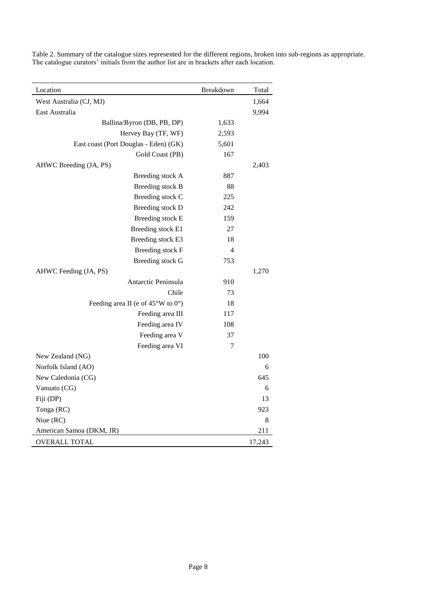| Location                                              | Breakdown | Total       |
|-------------------------------------------------------|-----------|-------------|
| West Australia (CJ, MJ)                               |           | 1,664       |
| East Australia                                        |           | 9,994       |
| Ballina/Byron (DB, PB, DP)                            | 1,633     |             |
| Hervey Bay (TF, WF)                                   | 2,593     |             |
| East coast (Port Douglas - Eden) (GK)                 | 5,601     |             |
| Gold Coast (PB)                                       | 167       |             |
| AHWC Breeding (JA, PS)                                |           | 2,403       |
| Breeding stock A                                      | 887       |             |
| Breeding stock B                                      | 88        |             |
| Breeding stock C                                      | 225       |             |
| Breeding stock D                                      | 242       |             |
| Breeding stock E                                      | 159       |             |
| Breeding stock E1                                     | 27        |             |
| Breeding stock E3                                     | 18        |             |
| Breeding stock F                                      | 4         |             |
| Breeding stock G                                      | 753       |             |
| AHWC Feeding (JA, PS)                                 |           | 1,270       |
| Antarctic Peninsula                                   | 910       |             |
| Chile                                                 | 73        |             |
| Feeding area II (e of $45^{\circ}$ W to $0^{\circ}$ ) | 18        |             |
| Feeding area III                                      | 117       |             |
| Feeding area IV                                       | 108       |             |
| Feeding area V                                        | 37        |             |
| Feeding area VI                                       | 7         |             |
| New Zealand (NG)                                      |           | 100         |
| Norfolk Island (AO)                                   |           | 6           |
| New Caledonia (CG)                                    |           | 645         |
| Vanuatu (CG)                                          |           | 6           |
| Fiji (DP)                                             |           | 13          |
| Tonga (RC)                                            |           | 923         |
| Niue (RC)                                             |           | $\,$ 8 $\,$ |
| American Samoa (DKM, JR)                              |           | 211         |
| <b>OVERALL TOTAL</b>                                  |           | 17,243      |

Table 2. Summary of the catalogue sizes represented for the different regions, broken into sub-regions as appropriate. The catalogue curators' initials from the author list are in brackets after each location.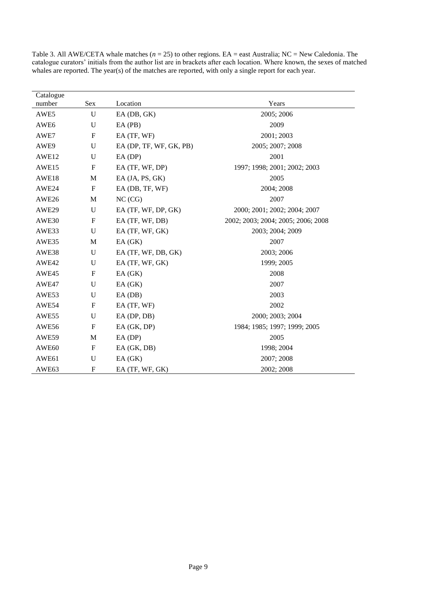| Catalogue         |                           |                         |                                    |
|-------------------|---------------------------|-------------------------|------------------------------------|
| number            | Sex                       | Location                | Years                              |
| AWE5              | U                         | EA (DB, GK)             | 2005; 2006                         |
| AWE <sub>6</sub>  | U                         | $EA$ (PB)               | 2009                               |
| AWE7              | ${\bf F}$                 | EA (TF, WF)             | 2001; 2003                         |
| AWE9              | $\mathbf U$               | EA (DP, TF, WF, GK, PB) | 2005; 2007; 2008                   |
| AWE <sub>12</sub> | U                         | $EA$ (DP)               | 2001                               |
| AWE15             | F                         | EA (TF, WF, DP)         | 1997; 1998; 2001; 2002; 2003       |
| AWE18             | M                         | EA (JA, PS, GK)         | 2005                               |
| AWE24             | $\boldsymbol{\mathrm{F}}$ | EA (DB, TF, WF)         | 2004; 2008                         |
| AWE26             | M                         | NC (CG)                 | 2007                               |
| AWE29             | U                         | EA (TF, WF, DP, GK)     | 2000; 2001; 2002; 2004; 2007       |
| AWE30             | $\mathbf F$               | EA (TF, WF, DB)         | 2002; 2003; 2004; 2005; 2006; 2008 |
| AWE33             | U                         | EA (TF, WF, GK)         | 2003; 2004; 2009                   |
| AWE35             | M                         | EA(GK)                  | 2007                               |
| AWE38             | $\mathbf U$               | EA (TF, WF, DB, GK)     | 2003; 2006                         |
| AWE42             | U                         | EA (TF, WF, GK)         | 1999; 2005                         |
| AWE45             | $\boldsymbol{\mathrm{F}}$ | EA(GK)                  | 2008                               |
| AWE47             | U                         | EA(GK)                  | 2007                               |
| AWE53             | U                         | $EA$ ( $DB$ )           | 2003                               |
| AWE54             | ${\bf F}$                 | EA (TF, WF)             | 2002                               |
| AWE55             | U                         | $EA$ (DP, DB)           | 2000; 2003; 2004                   |
| AWE56             | $\boldsymbol{\mathrm{F}}$ | EA(GK, DP)              | 1984; 1985; 1997; 1999; 2005       |
| AWE59             | M                         | $EA$ (DP)               | 2005                               |
| AWE <sub>60</sub> | $\boldsymbol{\mathrm{F}}$ | EA (GK, DB)             | 1998; 2004                         |
| AWE61             | $\mathbf U$               | EA(GK)                  | 2007; 2008                         |
| AWE <sub>63</sub> | $\boldsymbol{\mathrm{F}}$ | EA (TF, WF, GK)         | 2002; 2008                         |

Table 3. All AWE/CETA whale matches (*n* = 25) to other regions. EA = east Australia; NC = New Caledonia. The catalogue curators' initials from the author list are in brackets after each location. Where known, the sexes of matched whales are reported. The year(s) of the matches are reported, with only a single report for each year.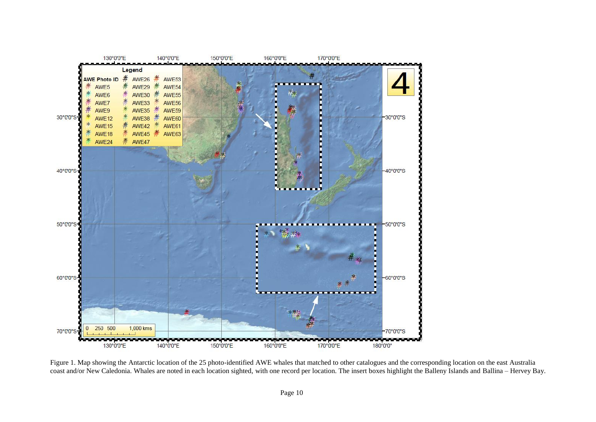

Figure 1. Map showing the Antarctic location of the 25 photo-identified AWE whales that matched to other catalogues and the corresponding location on the east Australia coast and/or New Caledonia. Whales are noted in each location sighted, with one record per location. The insert boxes highlight the Balleny Islands and Ballina – Hervey Bay.